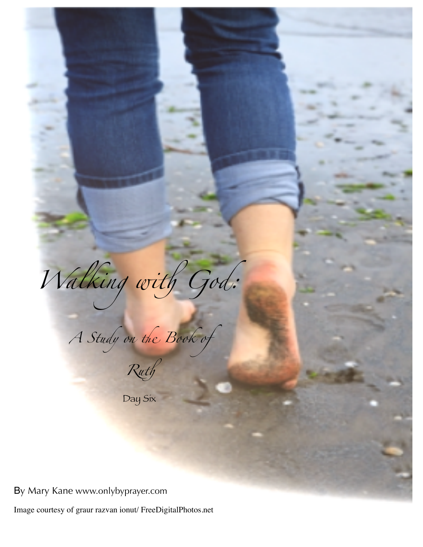Walking with God: A Study on the Book of

Day Six

By Mary Kane www.onlybyprayer.com

Image courtesy of graur razvan ionut/ FreeDigitalPhotos.net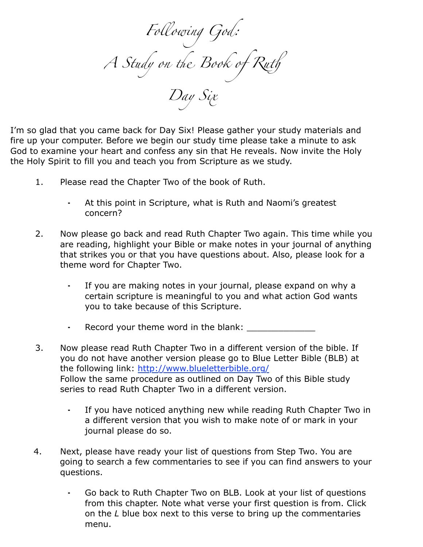*Fo*#*owing God: A Study on* " *Book of Ru*! *Day Six*

I'm so glad that you came back for Day Six! Please gather your study materials and fire up your computer. Before we begin our study time please take a minute to ask God to examine your heart and confess any sin that He reveals. Now invite the Holy the Holy Spirit to fill you and teach you from Scripture as we study.

- 1. Please read the Chapter Two of the book of Ruth.
	- ⁃ At this point in Scripture, what is Ruth and Naomi's greatest concern?
- 2. Now please go back and read Ruth Chapter Two again. This time while you are reading, highlight your Bible or make notes in your journal of anything that strikes you or that you have questions about. Also, please look for a theme word for Chapter Two.
	- If you are making notes in your journal, please expand on why a certain scripture is meaningful to you and what action God wants you to take because of this Scripture.
	- ⁃ Record your theme word in the blank: \_\_\_\_\_\_\_\_\_\_\_\_\_
- 3. Now please read Ruth Chapter Two in a different version of the bible. If you do not have another version please go to Blue Letter Bible (BLB) at the following link:<http://www.blueletterbible.org/> Follow the same procedure as outlined on Day Two of this Bible study series to read Ruth Chapter Two in a different version.
	- ⁃ If you have noticed anything new while reading Ruth Chapter Two in a different version that you wish to make note of or mark in your journal please do so.
- 4. Next, please have ready your list of questions from Step Two. You are going to search a few commentaries to see if you can find answers to your questions.
	- ⁃ Go back to Ruth Chapter Two on BLB. Look at your list of questions from this chapter. Note what verse your first question is from. Click on the *L* blue box next to this verse to bring up the commentaries menu.